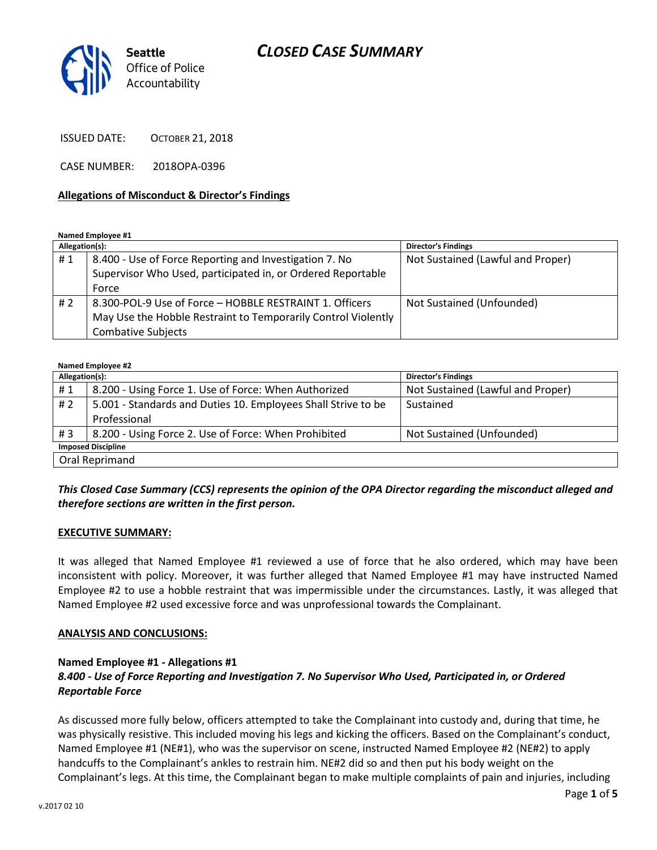## CLOSED CASE SUMMARY



ISSUED DATE: OCTOBER 21, 2018

CASE NUMBER: 2018OPA-0396

#### Allegations of Misconduct & Director's Findings

Named Employee #1

| Allegation(s): |                                                               | <b>Director's Findings</b>        |
|----------------|---------------------------------------------------------------|-----------------------------------|
| #1             | 8.400 - Use of Force Reporting and Investigation 7. No        | Not Sustained (Lawful and Proper) |
|                | Supervisor Who Used, participated in, or Ordered Reportable   |                                   |
|                | Force                                                         |                                   |
| #2             | 8.300-POL-9 Use of Force - HOBBLE RESTRAINT 1. Officers       | Not Sustained (Unfounded)         |
|                | May Use the Hobble Restraint to Temporarily Control Violently |                                   |
|                | Combative Subjects                                            |                                   |

#### Named Employee #2

| Allegation(s):            |                                                               | <b>Director's Findings</b>        |  |
|---------------------------|---------------------------------------------------------------|-----------------------------------|--|
| #1                        | 8.200 - Using Force 1. Use of Force: When Authorized          | Not Sustained (Lawful and Proper) |  |
| # 2                       | 5.001 - Standards and Duties 10. Employees Shall Strive to be | Sustained                         |  |
|                           | Professional                                                  |                                   |  |
| #3                        | 8.200 - Using Force 2. Use of Force: When Prohibited          | Not Sustained (Unfounded)         |  |
| <b>Imposed Discipline</b> |                                                               |                                   |  |
| Oral Reprimand            |                                                               |                                   |  |

### This Closed Case Summary (CCS) represents the opinion of the OPA Director regarding the misconduct alleged and therefore sections are written in the first person.

#### EXECUTIVE SUMMARY:

It was alleged that Named Employee #1 reviewed a use of force that he also ordered, which may have been inconsistent with policy. Moreover, it was further alleged that Named Employee #1 may have instructed Named Employee #2 to use a hobble restraint that was impermissible under the circumstances. Lastly, it was alleged that Named Employee #2 used excessive force and was unprofessional towards the Complainant.

#### ANALYSIS AND CONCLUSIONS:

#### Named Employee #1 - Allegations #1 8.400 - Use of Force Reporting and Investigation 7. No Supervisor Who Used, Participated in, or Ordered Reportable Force

As discussed more fully below, officers attempted to take the Complainant into custody and, during that time, he was physically resistive. This included moving his legs and kicking the officers. Based on the Complainant's conduct, Named Employee #1 (NE#1), who was the supervisor on scene, instructed Named Employee #2 (NE#2) to apply handcuffs to the Complainant's ankles to restrain him. NE#2 did so and then put his body weight on the Complainant's legs. At this time, the Complainant began to make multiple complaints of pain and injuries, including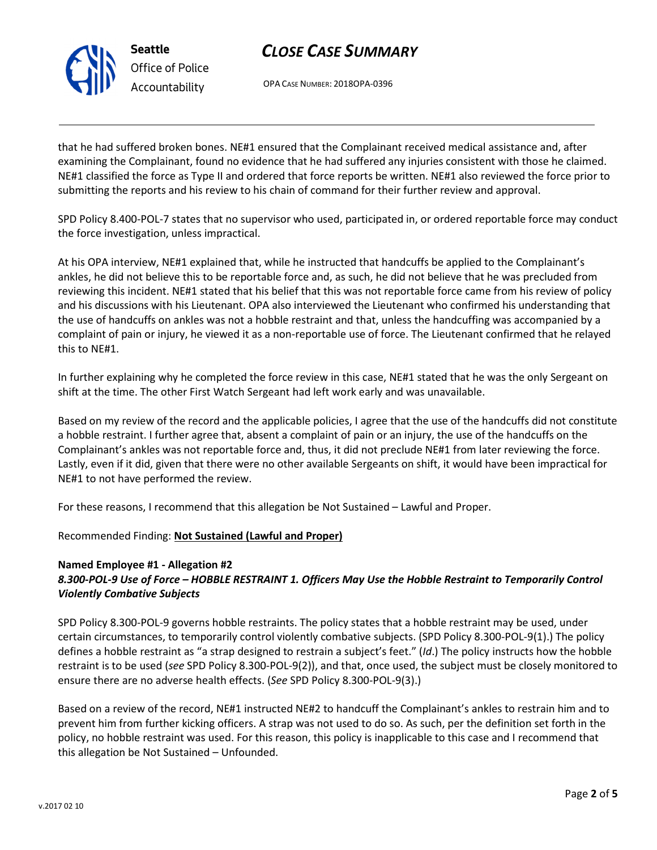

## CLOSE CASE SUMMARY

OPA CASE NUMBER: 2018OPA-0396

that he had suffered broken bones. NE#1 ensured that the Complainant received medical assistance and, after examining the Complainant, found no evidence that he had suffered any injuries consistent with those he claimed. NE#1 classified the force as Type II and ordered that force reports be written. NE#1 also reviewed the force prior to submitting the reports and his review to his chain of command for their further review and approval.

SPD Policy 8.400-POL-7 states that no supervisor who used, participated in, or ordered reportable force may conduct the force investigation, unless impractical.

At his OPA interview, NE#1 explained that, while he instructed that handcuffs be applied to the Complainant's ankles, he did not believe this to be reportable force and, as such, he did not believe that he was precluded from reviewing this incident. NE#1 stated that his belief that this was not reportable force came from his review of policy and his discussions with his Lieutenant. OPA also interviewed the Lieutenant who confirmed his understanding that the use of handcuffs on ankles was not a hobble restraint and that, unless the handcuffing was accompanied by a complaint of pain or injury, he viewed it as a non-reportable use of force. The Lieutenant confirmed that he relayed this to NE#1.

In further explaining why he completed the force review in this case, NE#1 stated that he was the only Sergeant on shift at the time. The other First Watch Sergeant had left work early and was unavailable.

Based on my review of the record and the applicable policies, I agree that the use of the handcuffs did not constitute a hobble restraint. I further agree that, absent a complaint of pain or an injury, the use of the handcuffs on the Complainant's ankles was not reportable force and, thus, it did not preclude NE#1 from later reviewing the force. Lastly, even if it did, given that there were no other available Sergeants on shift, it would have been impractical for NE#1 to not have performed the review.

For these reasons, I recommend that this allegation be Not Sustained – Lawful and Proper.

### Recommended Finding: Not Sustained (Lawful and Proper)

### Named Employee #1 - Allegation #2 8.300-POL-9 Use of Force – HOBBLE RESTRAINT 1. Officers May Use the Hobble Restraint to Temporarily Control Violently Combative Subjects

SPD Policy 8.300-POL-9 governs hobble restraints. The policy states that a hobble restraint may be used, under certain circumstances, to temporarily control violently combative subjects. (SPD Policy 8.300-POL-9(1).) The policy defines a hobble restraint as "a strap designed to restrain a subject's feet." (Id.) The policy instructs how the hobble restraint is to be used (see SPD Policy 8.300-POL-9(2)), and that, once used, the subject must be closely monitored to ensure there are no adverse health effects. (See SPD Policy 8.300-POL-9(3).)

Based on a review of the record, NE#1 instructed NE#2 to handcuff the Complainant's ankles to restrain him and to prevent him from further kicking officers. A strap was not used to do so. As such, per the definition set forth in the policy, no hobble restraint was used. For this reason, this policy is inapplicable to this case and I recommend that this allegation be Not Sustained – Unfounded.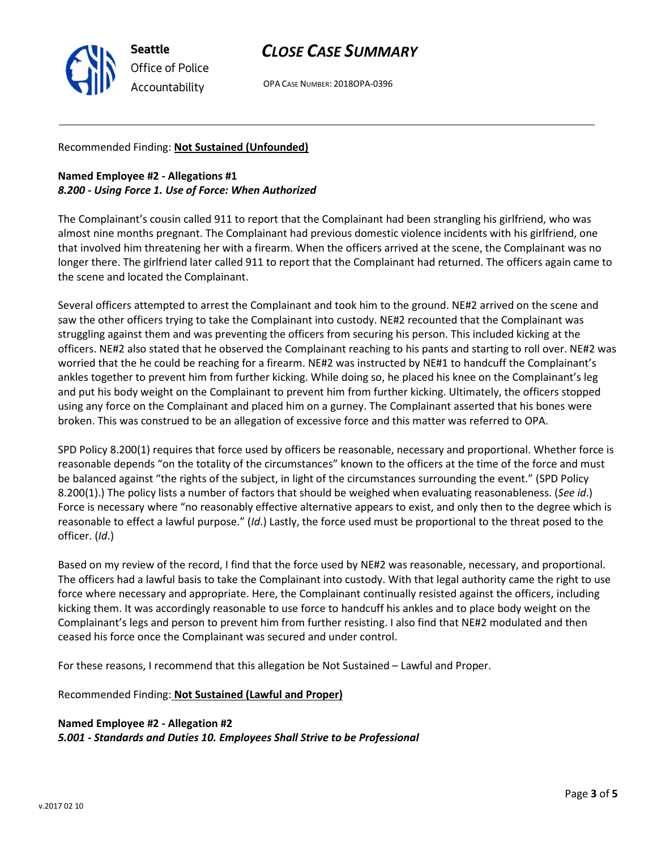v.2017 02 10

Seattle Office of Police Accountability

# CLOSE CASE SUMMARY

OPA CASE NUMBER: 2018OPA-0396

### Recommended Finding: Not Sustained (Unfounded)

### Named Employee #2 - Allegations #1 8.200 - Using Force 1. Use of Force: When Authorized

The Complainant's cousin called 911 to report that the Complainant had been strangling his girlfriend, who was almost nine months pregnant. The Complainant had previous domestic violence incidents with his girlfriend, one that involved him threatening her with a firearm. When the officers arrived at the scene, the Complainant was no longer there. The girlfriend later called 911 to report that the Complainant had returned. The officers again came to the scene and located the Complainant.

Several officers attempted to arrest the Complainant and took him to the ground. NE#2 arrived on the scene and saw the other officers trying to take the Complainant into custody. NE#2 recounted that the Complainant was struggling against them and was preventing the officers from securing his person. This included kicking at the officers. NE#2 also stated that he observed the Complainant reaching to his pants and starting to roll over. NE#2 was worried that the he could be reaching for a firearm. NE#2 was instructed by NE#1 to handcuff the Complainant's ankles together to prevent him from further kicking. While doing so, he placed his knee on the Complainant's leg and put his body weight on the Complainant to prevent him from further kicking. Ultimately, the officers stopped using any force on the Complainant and placed him on a gurney. The Complainant asserted that his bones were broken. This was construed to be an allegation of excessive force and this matter was referred to OPA.

SPD Policy 8.200(1) requires that force used by officers be reasonable, necessary and proportional. Whether force is reasonable depends "on the totality of the circumstances" known to the officers at the time of the force and must be balanced against "the rights of the subject, in light of the circumstances surrounding the event." (SPD Policy 8.200(1).) The policy lists a number of factors that should be weighed when evaluating reasonableness. (See id.) Force is necessary where "no reasonably effective alternative appears to exist, and only then to the degree which is reasonable to effect a lawful purpose." (Id.) Lastly, the force used must be proportional to the threat posed to the officer. (Id.)

Based on my review of the record, I find that the force used by NE#2 was reasonable, necessary, and proportional. The officers had a lawful basis to take the Complainant into custody. With that legal authority came the right to use force where necessary and appropriate. Here, the Complainant continually resisted against the officers, including kicking them. It was accordingly reasonable to use force to handcuff his ankles and to place body weight on the Complainant's legs and person to prevent him from further resisting. I also find that NE#2 modulated and then ceased his force once the Complainant was secured and under control.

For these reasons, I recommend that this allegation be Not Sustained – Lawful and Proper.

Recommended Finding: Not Sustained (Lawful and Proper)

Named Employee #2 - Allegation #2 5.001 - Standards and Duties 10. Employees Shall Strive to be Professional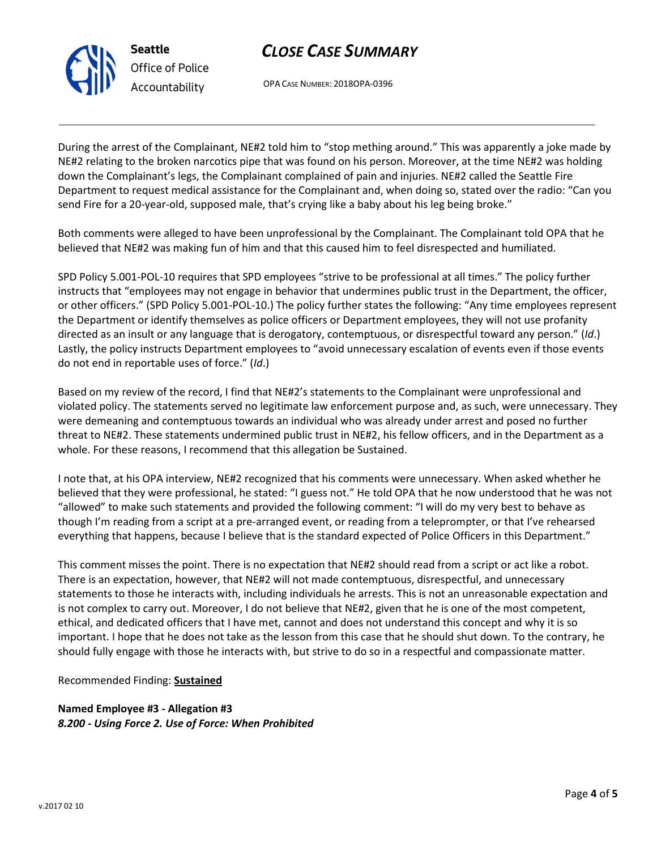

Seattle Office of Police Accountability

# CLOSE CASE SUMMARY

OPA CASE NUMBER: 2018OPA-0396

During the arrest of the Complainant, NE#2 told him to "stop mething around." This was apparently a joke made by NE#2 relating to the broken narcotics pipe that was found on his person. Moreover, at the time NE#2 was holding down the Complainant's legs, the Complainant complained of pain and injuries. NE#2 called the Seattle Fire Department to request medical assistance for the Complainant and, when doing so, stated over the radio: "Can you send Fire for a 20-year-old, supposed male, that's crying like a baby about his leg being broke."

Both comments were alleged to have been unprofessional by the Complainant. The Complainant told OPA that he believed that NE#2 was making fun of him and that this caused him to feel disrespected and humiliated.

SPD Policy 5.001-POL-10 requires that SPD employees "strive to be professional at all times." The policy further instructs that "employees may not engage in behavior that undermines public trust in the Department, the officer, or other officers." (SPD Policy 5.001-POL-10.) The policy further states the following: "Any time employees represent the Department or identify themselves as police officers or Department employees, they will not use profanity directed as an insult or any language that is derogatory, contemptuous, or disrespectful toward any person." (Id.) Lastly, the policy instructs Department employees to "avoid unnecessary escalation of events even if those events do not end in reportable uses of force." (Id.)

Based on my review of the record, I find that NE#2's statements to the Complainant were unprofessional and violated policy. The statements served no legitimate law enforcement purpose and, as such, were unnecessary. They were demeaning and contemptuous towards an individual who was already under arrest and posed no further threat to NE#2. These statements undermined public trust in NE#2, his fellow officers, and in the Department as a whole. For these reasons, I recommend that this allegation be Sustained.

I note that, at his OPA interview, NE#2 recognized that his comments were unnecessary. When asked whether he believed that they were professional, he stated: "I guess not." He told OPA that he now understood that he was not "allowed" to make such statements and provided the following comment: "I will do my very best to behave as though I'm reading from a script at a pre-arranged event, or reading from a teleprompter, or that I've rehearsed everything that happens, because I believe that is the standard expected of Police Officers in this Department."

This comment misses the point. There is no expectation that NE#2 should read from a script or act like a robot. There is an expectation, however, that NE#2 will not made contemptuous, disrespectful, and unnecessary statements to those he interacts with, including individuals he arrests. This is not an unreasonable expectation and is not complex to carry out. Moreover, I do not believe that NE#2, given that he is one of the most competent, ethical, and dedicated officers that I have met, cannot and does not understand this concept and why it is so important. I hope that he does not take as the lesson from this case that he should shut down. To the contrary, he should fully engage with those he interacts with, but strive to do so in a respectful and compassionate matter.

Recommended Finding: Sustained

Named Employee #3 - Allegation #3 8.200 - Using Force 2. Use of Force: When Prohibited